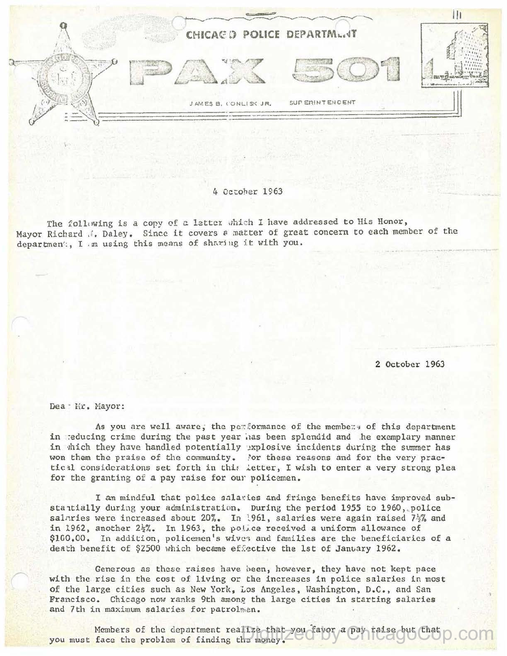

## 4 October 1963

The following is a copy of a latter which I have addressed to His Honor, Mayor Richard J. Daley. Since it covers a matter of great concern to each member of the department, I m using this means of sharing it with you.

2 October 1963

Dea: Mr. Mayor:

As you are well aware, the performance of the members of this department in reducing crime during the past year has been splendid and he exemplary manner in thich they have handled potentially explosive incidents during the summer has won them the praise of the community. Nor these reasons and for the very practical considerations set forth in this letter, I wish to enter a very strong plea for the granting of a pay raise for our policemen.

I am mindful that police salaries and fringe benefits have improved substantially during your administration. During the period 1955 to 1960, police salaries were increased about 20%. In 1961, salaries were again raised  $7\frac{1}{2}\%$  and in 1962, another 2\%. In 1963, the police received a uniform allowance of \$100.00. In addition, policemen's wives and families are the beneficiaries of a death benefit of \$2500 which became effective the 1st of January 1962.

Generous as these raises have been, however, they have not kept pace with the rise in the cost of living or the increases in police salaries in most of the large cities such as New York, Los Angeles, Washington, D.C., and San Francisco. Chicago now ranks 9th among the large cities in starting salaries and 7th in maximum salaries for patrolmen.

Members of the department realize that you favor a pay raise but that you must face the problem of finding the money.